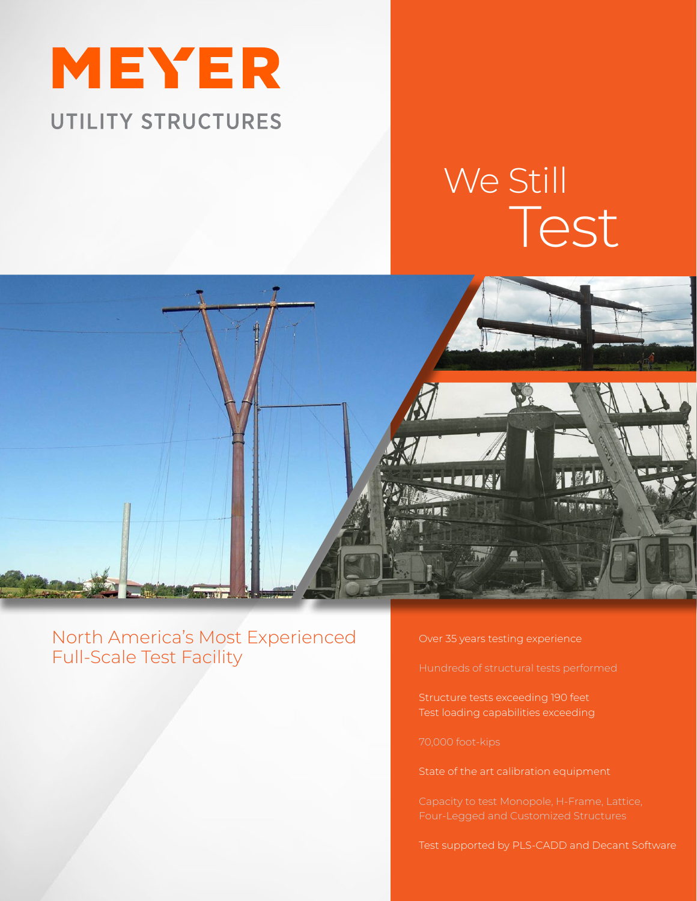

## We Still Test



North America's Most Experienced Full-Scale Test Facility

Over 35 years testing experience

Structure tests exceeding 190 feet Test loading capabilities exceeding

State of the art calibration equipment

Test supported by PLS-CADD and Decant Software